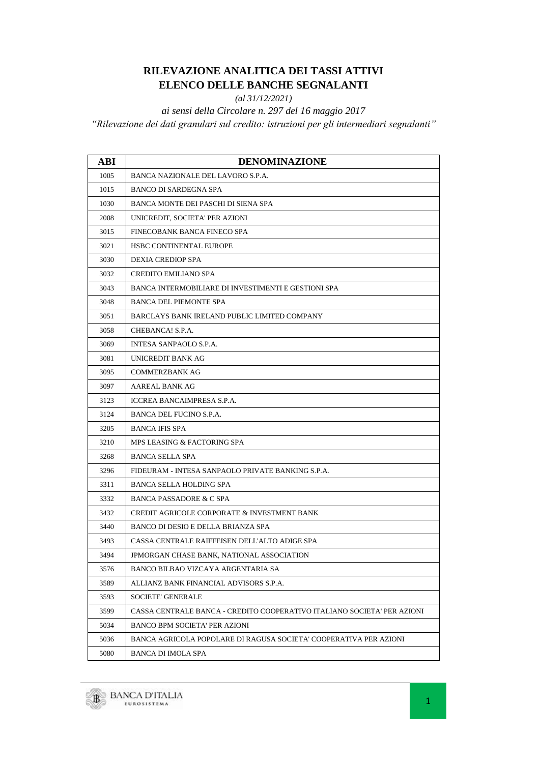## **RILEVAZIONE ANALITICA DEI TASSI ATTIVI ELENCO DELLE BANCHE SEGNALANTI**

*(al 31/12/2021)*

*ai sensi della Circolare n. 297 del 16 maggio 2017 "Rilevazione dei dati granulari sul credito: istruzioni per gli intermediari segnalanti"*

| ABI  | DENOMINAZIONE                                                           |
|------|-------------------------------------------------------------------------|
| 1005 | BANCA NAZIONALE DEL LAVORO S.P.A.                                       |
| 1015 | BANCO DI SARDEGNA SPA                                                   |
| 1030 | BANCA MONTE DEI PASCHI DI SIENA SPA                                     |
| 2008 | UNICREDIT, SOCIETA' PER AZIONI                                          |
| 3015 | FINECOBANK BANCA FINECO SPA                                             |
| 3021 | <b>HSBC CONTINENTAL EUROPE</b>                                          |
| 3030 | DEXIA CREDIOP SPA                                                       |
| 3032 | <b>CREDITO EMILIANO SPA</b>                                             |
| 3043 | <b>BANCA INTERMOBILIARE DI INVESTIMENTI E GESTIONI SPA</b>              |
| 3048 | <b>BANCA DEL PIEMONTE SPA</b>                                           |
| 3051 | BARCLAYS BANK IRELAND PUBLIC LIMITED COMPANY                            |
| 3058 | CHEBANCA! S.P.A.                                                        |
| 3069 | INTESA SANPAOLO S.P.A.                                                  |
| 3081 | UNICREDIT BANK AG                                                       |
| 3095 | <b>COMMERZBANK AG</b>                                                   |
| 3097 | AAREAL BANK AG                                                          |
| 3123 | <b>ICCREA BANCAIMPRESA S.P.A.</b>                                       |
| 3124 | <b>BANCA DEL FUCINO S.P.A.</b>                                          |
| 3205 | <b>BANCA IFIS SPA</b>                                                   |
| 3210 | MPS LEASING & FACTORING SPA                                             |
| 3268 | <b>BANCA SELLA SPA</b>                                                  |
| 3296 | FIDEURAM - INTESA SANPAOLO PRIVATE BANKING S.P.A.                       |
| 3311 | BANCA SELLA HOLDING SPA                                                 |
| 3332 | <b>BANCA PASSADORE &amp; C SPA</b>                                      |
| 3432 | CREDIT AGRICOLE CORPORATE & INVESTMENT BANK                             |
| 3440 | BANCO DI DESIO E DELLA BRIANZA SPA                                      |
| 3493 | CASSA CENTRALE RAIFFEISEN DELL'ALTO ADIGE SPA                           |
| 3494 | JPMORGAN CHASE BANK, NATIONAL ASSOCIATION                               |
| 3576 | BANCO BILBAO VIZCAYA ARGENTARIA SA                                      |
| 3589 | ALLIANZ BANK FINANCIAL ADVISORS S.P.A.                                  |
| 3593 | <b>SOCIETE' GENERALE</b>                                                |
| 3599 | CASSA CENTRALE BANCA - CREDITO COOPERATIVO ITALIANO SOCIETA' PER AZIONI |
| 5034 | <b>BANCO BPM SOCIETA' PER AZIONI</b>                                    |
| 5036 | BANCA AGRICOLA POPOLARE DI RAGUSA SOCIETA' COOPERATIVA PER AZIONI       |
| 5080 | BANCA DI IMOLA SPA                                                      |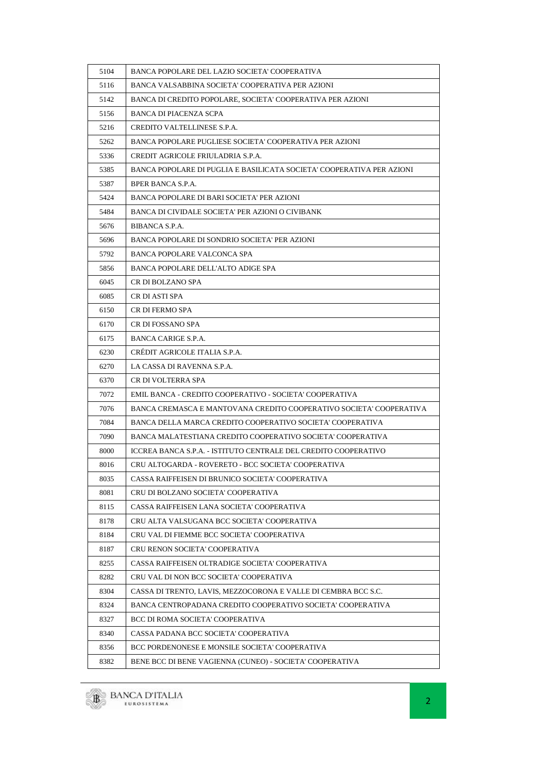| 5104 | BANCA POPOLARE DEL LAZIO SOCIETA' COOPERATIVA                         |
|------|-----------------------------------------------------------------------|
| 5116 | BANCA VALSABBINA SOCIETA' COOPERATIVA PER AZIONI                      |
| 5142 | BANCA DI CREDITO POPOLARE, SOCIETA' COOPERATIVA PER AZIONI            |
| 5156 | <b>BANCA DI PIACENZA SCPA</b>                                         |
| 5216 | CREDITO VALTELLINESE S.P.A.                                           |
| 5262 | BANCA POPOLARE PUGLIESE SOCIETA' COOPERATIVA PER AZIONI               |
| 5336 | CREDIT AGRICOLE FRIULADRIA S.P.A.                                     |
| 5385 | BANCA POPOLARE DI PUGLIA E BASILICATA SOCIETA' COOPERATIVA PER AZIONI |
| 5387 | BPER BANCA S.P.A.                                                     |
| 5424 | BANCA POPOLARE DI BARI SOCIETA' PER AZIONI                            |
| 5484 | BANCA DI CIVIDALE SOCIETA' PER AZIONI O CIVIBANK                      |
| 5676 | BIBANCA S.P.A.                                                        |
| 5696 | BANCA POPOLARE DI SONDRIO SOCIETA' PER AZIONI                         |
| 5792 | BANCA POPOLARE VALCONCA SPA                                           |
| 5856 | BANCA POPOLARE DELL'ALTO ADIGE SPA                                    |
| 6045 | CR DI BOLZANO SPA                                                     |
| 6085 | CR DI ASTI SPA                                                        |
| 6150 | CR DI FERMO SPA                                                       |
| 6170 | CR DI FOSSANO SPA                                                     |
| 6175 | BANCA CARIGE S.P.A.                                                   |
| 6230 | CRÉDIT AGRICOLE ITALIA S.P.A.                                         |
| 6270 | LA CASSA DI RAVENNA S.P.A.                                            |
| 6370 | CR DI VOLTERRA SPA                                                    |
| 7072 | EMIL BANCA - CREDITO COOPERATIVO - SOCIETA' COOPERATIVA               |
| 7076 | BANCA CREMASCA E MANTOVANA CREDITO COOPERATIVO SOCIETA' COOPERATIVA   |
| 7084 | BANCA DELLA MARCA CREDITO COOPERATIVO SOCIETA' COOPERATIVA            |
| 7090 | BANCA MALATESTIANA CREDITO COOPERATIVO SOCIETA' COOPERATIVA           |
| 8000 | ICCREA BANCA S.P.A. - ISTITUTO CENTRALE DEL CREDITO COOPERATIVO       |
| 8016 | CRU ALTOGARDA - ROVERETO - BCC SOCIETA' COOPERATIVA                   |
| 8035 | CASSA RAIFFEISEN DI BRUNICO SOCIETA' COOPERATIVA                      |
| 8081 | CRU DI BOLZANO SOCIETA' COOPERATIVA                                   |
| 8115 | CASSA RAIFFEISEN LANA SOCIETA' COOPERATIVA                            |
| 8178 | CRU ALTA VALSUGANA BCC SOCIETA' COOPERATIVA                           |
| 8184 | CRU VAL DI FIEMME BCC SOCIETA' COOPERATIVA                            |
| 8187 | <b>CRU RENON SOCIETA' COOPERATIVA</b>                                 |
| 8255 | CASSA RAIFFEISEN OLTRADIGE SOCIETA' COOPERATIVA                       |
| 8282 | CRU VAL DI NON BCC SOCIETA' COOPERATIVA                               |
| 8304 | CASSA DI TRENTO, LAVIS, MEZZOCORONA E VALLE DI CEMBRA BCC S.C.        |
| 8324 | BANCA CENTROPADANA CREDITO COOPERATIVO SOCIETA' COOPERATIVA           |
| 8327 | BCC DI ROMA SOCIETA' COOPERATIVA                                      |
| 8340 | CASSA PADANA BCC SOCIETA' COOPERATIVA                                 |
| 8356 | BCC PORDENONESE E MONSILE SOCIETA' COOPERATIVA                        |
| 8382 | BENE BCC DI BENE VAGIENNA (CUNEO) - SOCIETA' COOPERATIVA              |